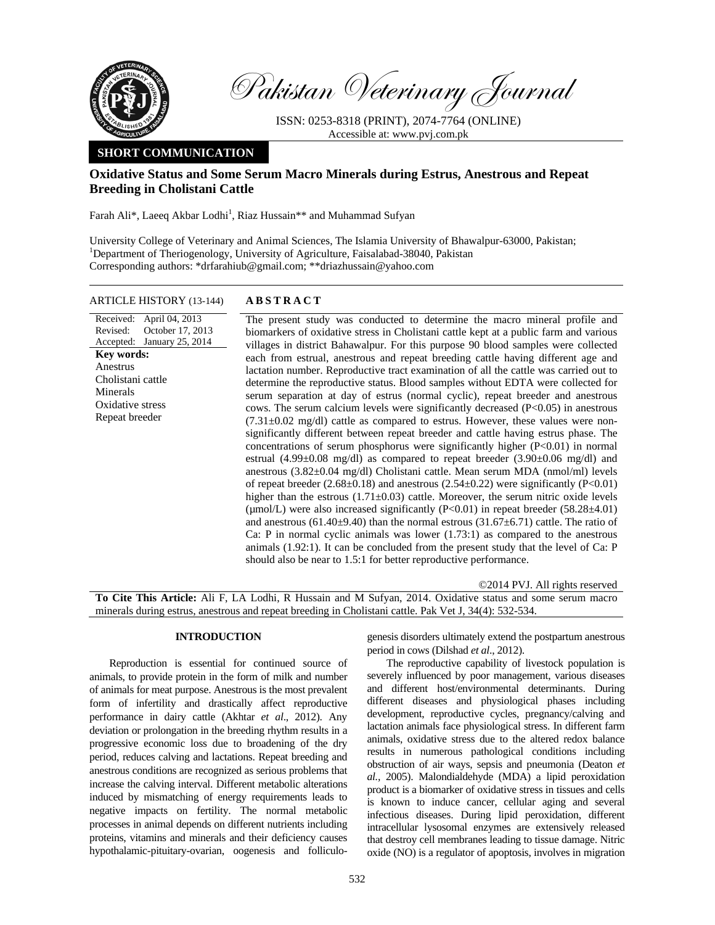

Pakistan Veterinary Journal

ISSN: 0253-8318 (PRINT), 2074-7764 (ONLINE) Accessible at: www.pvj.com.pk

# **SHORT COMMUNICATION**

## **Oxidative Status and Some Serum Macro Minerals during Estrus, Anestrous and Repeat Breeding in Cholistani Cattle**

Farah Ali\*, Laeeq Akbar Lodhi<sup>1</sup>, Riaz Hussain\*\* and Muhammad Sufyan

University College of Veterinary and Animal Sciences, The Islamia University of Bhawalpur-63000, Pakistan; <sup>1</sup>Department of Theriogenology, University of Agriculture, Faisalabad-38040, Pakistan Corresponding authors: \*drfarahiub@gmail.com; \*\*driazhussain@yahoo.com

### ARTICLE HISTORY (13-144) **ABSTRACT**

Received: Revised: Accepted: January 25, 2014 April 04, 2013 October 17, 2013 **Key words:**  Anestrus Cholistani cattle Minerals Oxidative stress Repeat breeder

 The present study was conducted to determine the macro mineral profile and biomarkers of oxidative stress in Cholistani cattle kept at a public farm and various villages in district Bahawalpur. For this purpose 90 blood samples were collected each from estrual, anestrous and repeat breeding cattle having different age and lactation number. Reproductive tract examination of all the cattle was carried out to determine the reproductive status. Blood samples without EDTA were collected for serum separation at day of estrus (normal cyclic), repeat breeder and anestrous cows. The serum calcium levels were significantly decreased  $(P<0.05)$  in anestrous  $(7.31\pm0.02 \text{ mg/d})$  cattle as compared to estrus. However, these values were nonsignificantly different between repeat breeder and cattle having estrus phase. The concentrations of serum phosphorus were significantly higher (P<0.01) in normal estrual  $(4.99\pm0.08 \text{ mg/dl})$  as compared to repeat breeder  $(3.90\pm0.06 \text{ mg/dl})$  and anestrous (3.82±0.04 mg/dl) Cholistani cattle. Mean serum MDA (nmol/ml) levels of repeat breeder (2.68 $\pm$ 0.18) and anestrous (2.54 $\pm$ 0.22) were significantly (P<0.01) higher than the estrous  $(1.71\pm0.03)$  cattle. Moreover, the serum nitric oxide levels ( $\mu$ mol/L) were also increased significantly (P<0.01) in repeat breeder (58.28 $\pm$ 4.01) and anestrous (61.40 $\pm$ 9.40) than the normal estrous (31.67 $\pm$ 6.71) cattle. The ratio of Ca: P in normal cyclic animals was lower (1.73:1) as compared to the anestrous animals (1.92:1). It can be concluded from the present study that the level of Ca: P should also be near to 1.5:1 for better reproductive performance.

©2014 PVJ. All rights reserved

**To Cite This Article:** Ali F, LA Lodhi, R Hussain and M Sufyan, 2014. Oxidative status and some serum macro minerals during estrus, anestrous and repeat breeding in Cholistani cattle. Pak Vet J, 34(4): 532-534.

### **INTRODUCTION**

Reproduction is essential for continued source of animals, to provide protein in the form of milk and number of animals for meat purpose. Anestrous is the most prevalent form of infertility and drastically affect reproductive performance in dairy cattle (Akhtar *et al*., 2012). Any deviation or prolongation in the breeding rhythm results in a progressive economic loss due to broadening of the dry period, reduces calving and lactations. Repeat breeding and anestrous conditions are recognized as serious problems that increase the calving interval. Different metabolic alterations induced by mismatching of energy requirements leads to negative impacts on fertility. The normal metabolic processes in animal depends on different nutrients including proteins, vitamins and minerals and their deficiency causes hypothalamic-pituitary-ovarian, oogenesis and folliculogenesis disorders ultimately extend the postpartum anestrous period in cows (Dilshad *et al*., 2012).

The reproductive capability of livestock population is severely influenced by poor management, various diseases and different host/environmental determinants. During different diseases and physiological phases including development, reproductive cycles, pregnancy/calving and lactation animals face physiological stress. In different farm animals, oxidative stress due to the altered redox balance results in numerous pathological conditions including obstruction of air ways, sepsis and pneumonia (Deaton *et al.,* 2005). Malondialdehyde (MDA) a lipid peroxidation product is a biomarker of oxidative stress in tissues and cells is known to induce cancer, cellular aging and several infectious diseases. During lipid peroxidation, different intracellular lysosomal enzymes are extensively released that destroy cell membranes leading to tissue damage. Nitric oxide (NO) is a regulator of apoptosis, involves in migration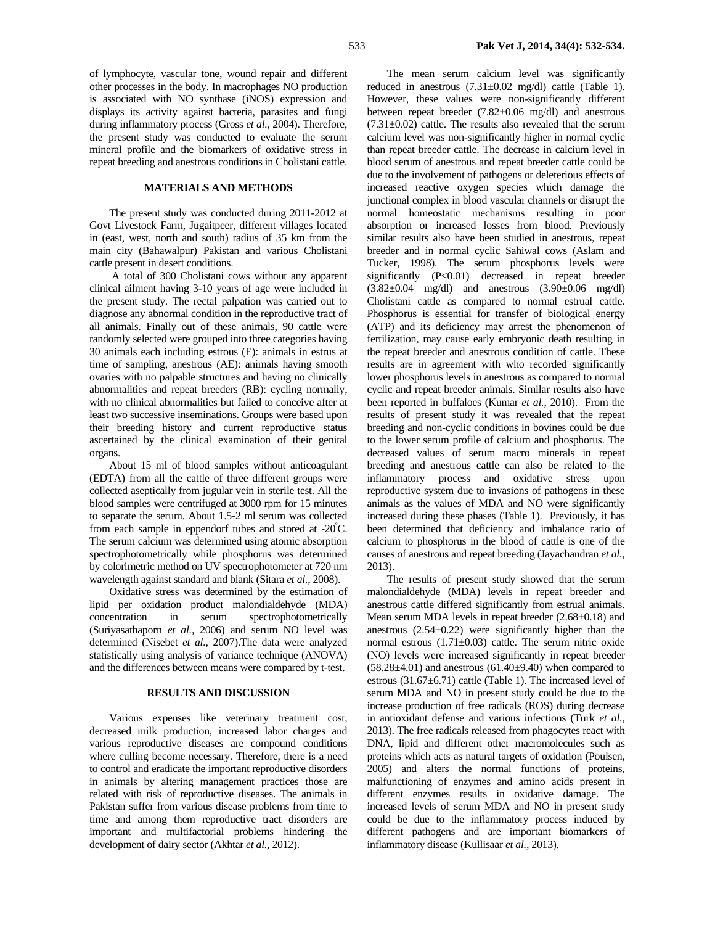of lymphocyte, vascular tone, wound repair and different other processes in the body. In macrophages NO production is associated with NO synthase (iNOS) expression and displays its activity against bacteria, parasites and fungi during inflammatory process (Gross *et al.,* 2004). Therefore, the present study was conducted to evaluate the serum mineral profile and the biomarkers of oxidative stress in repeat breeding and anestrous conditions in Cholistani cattle.

#### **MATERIALS AND METHODS**

The present study was conducted during 2011-2012 at Govt Livestock Farm, Jugaitpeer, different villages located in (east, west, north and south) radius of 35 km from the main city (Bahawalpur) Pakistan and various Cholistani cattle present in desert conditions.

 A total of 300 Cholistani cows without any apparent clinical ailment having 3-10 years of age were included in the present study. The rectal palpation was carried out to diagnose any abnormal condition in the reproductive tract of all animals. Finally out of these animals, 90 cattle were randomly selected were grouped into three categories having 30 animals each including estrous (E): animals in estrus at time of sampling, anestrous (AE): animals having smooth ovaries with no palpable structures and having no clinically abnormalities and repeat breeders (RB): cycling normally, with no clinical abnormalities but failed to conceive after at least two successive inseminations. Groups were based upon their breeding history and current reproductive status ascertained by the clinical examination of their genital organs.

About 15 ml of blood samples without anticoagulant (EDTA) from all the cattle of three different groups were collected aseptically from jugular vein in sterile test. All the blood samples were centrifuged at 3000 rpm for 15 minutes to separate the serum. About 1.5-2 ml serum was collected from each sample in eppendorf tubes and stored at -20°C. The serum calcium was determined using atomic absorption spectrophotometrically while phosphorus was determined by colorimetric method on UV spectrophotometer at 720 nm wavelength against standard and blank (Sitara *et al.,* 2008).

Oxidative stress was determined by the estimation of lipid per oxidation product malondialdehyde (MDA) concentration in serum spectrophotometrically (Suriyasathaporn *et al.,* 2006) and serum NO level was determined (Nisebet *et al.,* 2007).The data were analyzed statistically using analysis of variance technique (ANOVA) and the differences between means were compared by t-test.

## **RESULTS AND DISCUSSION**

Various expenses like veterinary treatment cost, decreased milk production, increased labor charges and various reproductive diseases are compound conditions where culling become necessary. Therefore, there is a need to control and eradicate the important reproductive disorders in animals by altering management practices those are related with risk of reproductive diseases. The animals in Pakistan suffer from various disease problems from time to time and among them reproductive tract disorders are important and multifactorial problems hindering the development of dairy sector (Akhtar *et al.,* 2012).

The mean serum calcium level was significantly reduced in anestrous  $(7.31 \pm 0.02 \text{ mg/dl})$  cattle (Table 1). However, these values were non-significantly different between repeat breeder (7.82±0.06 mg/dl) and anestrous  $(7.31\pm0.02)$  cattle. The results also revealed that the serum calcium level was non-significantly higher in normal cyclic than repeat breeder cattle. The decrease in calcium level in blood serum of anestrous and repeat breeder cattle could be due to the involvement of pathogens or deleterious effects of increased reactive oxygen species which damage the junctional complex in blood vascular channels or disrupt the normal homeostatic mechanisms resulting in poor absorption or increased losses from blood. Previously similar results also have been studied in anestrous, repeat breeder and in normal cyclic Sahiwal cows (Aslam and Tucker, 1998). The serum phosphorus levels were significantly (P<0.01) decreased in repeat breeder  $(3.82\pm0.04 \text{ mg/dl})$  and anestrous  $(3.90\pm0.06 \text{ mg/dl})$ Cholistani cattle as compared to normal estrual cattle. Phosphorus is essential for transfer of biological energy (ATP) and its deficiency may arrest the phenomenon of fertilization, may cause early embryonic death resulting in the repeat breeder and anestrous condition of cattle. These results are in agreement with who recorded significantly lower phosphorus levels in anestrous as compared to normal cyclic and repeat breeder animals. Similar results also have been reported in buffaloes (Kumar *et al.,* 2010). From the results of present study it was revealed that the repeat breeding and non-cyclic conditions in bovines could be due to the lower serum profile of calcium and phosphorus. The decreased values of serum macro minerals in repeat breeding and anestrous cattle can also be related to the inflammatory process and oxidative stress upon reproductive system due to invasions of pathogens in these animals as the values of MDA and NO were significantly increased during these phases (Table 1). Previously, it has been determined that deficiency and imbalance ratio of calcium to phosphorus in the blood of cattle is one of the causes of anestrous and repeat breeding (Jayachandran *et al.,* 2013).

The results of present study showed that the serum malondialdehyde (MDA) levels in repeat breeder and anestrous cattle differed significantly from estrual animals. Mean serum MDA levels in repeat breeder  $(2.68\pm0.18)$  and anestrous (2.54±0.22) were significantly higher than the normal estrous (1.71±0.03) cattle. The serum nitric oxide (NO) levels were increased significantly in repeat breeder  $(58.28\pm4.01)$  and anestrous  $(61.40\pm9.40)$  when compared to estrous (31.67±6.71) cattle (Table 1). The increased level of serum MDA and NO in present study could be due to the increase production of free radicals (ROS) during decrease in antioxidant defense and various infections (Turk *et al.,* 2013). The free radicals released from phagocytes react with DNA, lipid and different other macromolecules such as proteins which acts as natural targets of oxidation (Poulsen, 2005) and alters the normal functions of proteins, malfunctioning of enzymes and amino acids present in different enzymes results in oxidative damage. The increased levels of serum MDA and NO in present study could be due to the inflammatory process induced by different pathogens and are important biomarkers of inflammatory disease (Kullisaar *et al.,* 2013).